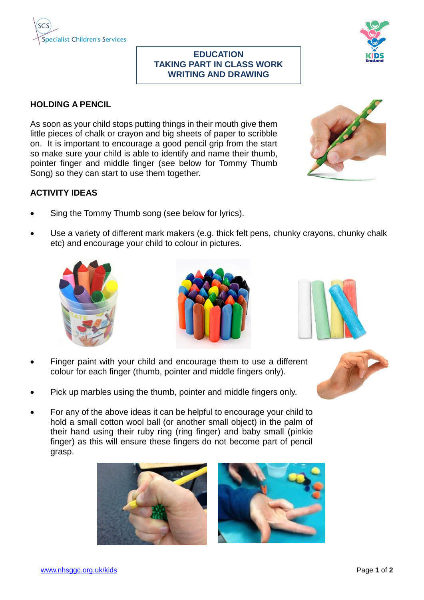

## **EDUCATION TAKING PART IN CLASS WORK WRITING AND DRAWING**



## **HOLDING A PENCIL**

As soon as your child stops putting things in their mouth give them little pieces of chalk or crayon and big sheets of paper to scribble on. It is important to encourage a good pencil grip from the start so make sure your child is able to identify and name their thumb, pointer finger and middle finger (see below for Tommy Thumb Song) so they can start to use them together.



## **ACTIVITY IDEAS**

- Sing the Tommy Thumb song (see below for lyrics).
- Use a variety of different mark makers (e.g. thick felt pens, chunky crayons, chunky chalk etc) and encourage your child to colour in pictures.







- Finger paint with your child and encourage them to use a different colour for each finger (thumb, pointer and middle fingers only).
- Pick up marbles using the thumb, pointer and middle fingers only.
- For any of the above ideas it can be helpful to encourage your child to hold a small cotton wool ball (or another small object) in the palm of their hand using their ruby ring (ring finger) and baby small (pinkie finger) as this will ensure these fingers do not become part of pencil grasp.